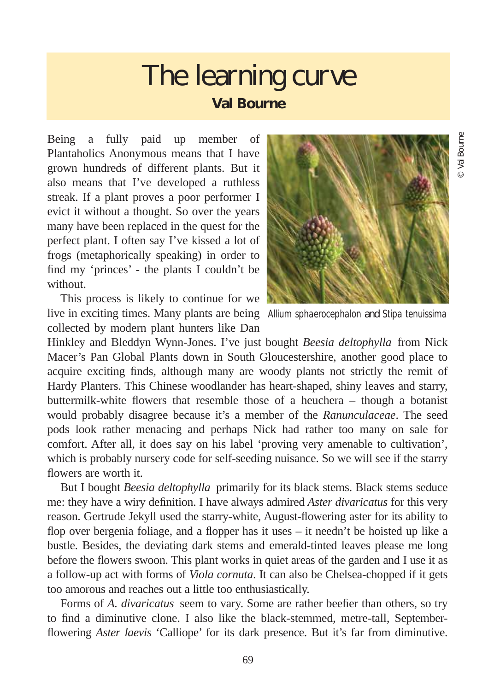## The learning curve **Val Bourne**

Being a fully paid up member of Plantaholics Anonymous means that I have grown hundreds of different plants. But it also means that I've developed a ruthless streak. If a plant proves a poor performer I evict it without a thought. So over the years many have been replaced in the quest for the perfect plant. I often say I've kissed a lot of frogs (metaphorically speaking) in order to find my 'princes' - the plants I couldn't be without.

This process is likely to continue for we live in exciting times. Many plants are being *Allium sphaerocephalon* and *Stipa tenuissima*collected by modern plant hunters like Dan



Hinkley and Bleddyn Wynn-Jones. I've just bought *Beesia deltophylla* from Nick Macer's Pan Global Plants down in South Gloucestershire, another good place to acquire exciting finds, although many are woody plants not strictly the remit of Hardy Planters. This Chinese woodlander has heart-shaped, shiny leaves and starry, buttermilk-white flowers that resemble those of a heuchera – though a botanist would probably disagree because it's a member of the *Ranunculaceae*. The seed pods look rather menacing and perhaps Nick had rather too many on sale for comfort. After all, it does say on his label 'proving very amenable to cultivation', which is probably nursery code for self-seeding nuisance. So we will see if the starry flowers are worth it.

But I bought *Beesia deltophylla* primarily for its black stems. Black stems seduce me: they have a wiry definition. I have always admired *Aster divaricatus* for this very reason. Gertrude Jekyll used the starry-white, August-flowering aster for its ability to flop over bergenia foliage, and a flopper has it uses – it needn't be hoisted up like a bustle. Besides, the deviating dark stems and emerald-tinted leaves please me long before the flowers swoon. This plant works in quiet areas of the garden and I use it as a follow-up act with forms of *Viola cornuta*. It can also be Chelsea-chopped if it gets too amorous and reaches out a little too enthusiastically.

Forms of *A. divaricatus* seem to vary. Some are rather beefier than others, so try to find a diminutive clone. I also like the black-stemmed, metre-tall, Septemberflowering *Aster laevis* 'Calliope' for its dark presence. But it's far from diminutive.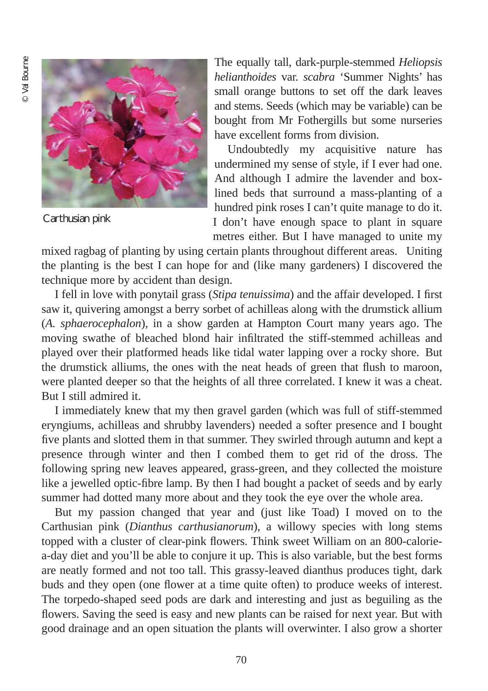

Carthusian pink

The equally tall, dark-purple-stemmed *Heliopsis helianthoides* var. *scabra* 'Summer Nights' has small orange buttons to set off the dark leaves and stems. Seeds (which may be variable) can be bought from Mr Fothergills but some nurseries have excellent forms from division.

Undoubtedly my acquisitive nature has undermined my sense of style, if I ever had one. And although I admire the lavender and boxlined beds that surround a mass-planting of a hundred pink roses I can't quite manage to do it. I don't have enough space to plant in square metres either. But I have managed to unite my

mixed ragbag of planting by using certain plants throughout different areas. Uniting the planting is the best I can hope for and (like many gardeners) I discovered the technique more by accident than design.

I fell in love with ponytail grass (*Stipa tenuissima*) and the affair developed. I first saw it, quivering amongst a berry sorbet of achilleas along with the drumstick allium (*A. sphaerocephalon*), in a show garden at Hampton Court many years ago. The moving swathe of bleached blond hair infiltrated the stiff-stemmed achilleas and played over their platformed heads like tidal water lapping over a rocky shore. But the drumstick alliums, the ones with the neat heads of green that flush to maroon, were planted deeper so that the heights of all three correlated. I knew it was a cheat. But I still admired it.

I immediately knew that my then gravel garden (which was full of stiff-stemmed eryngiums, achilleas and shrubby lavenders) needed a softer presence and I bought five plants and slotted them in that summer. They swirled through autumn and kept a presence through winter and then I combed them to get rid of the dross. The following spring new leaves appeared, grass-green, and they collected the moisture like a jewelled optic-fibre lamp. By then I had bought a packet of seeds and by early summer had dotted many more about and they took the eye over the whole area.

But my passion changed that year and (just like Toad) I moved on to the Carthusian pink (*Dianthus carthusianorum*), a willowy species with long stems topped with a cluster of clear-pink flowers. Think sweet William on an 800-caloriea-day diet and you'll be able to conjure it up. This is also variable, but the best forms are neatly formed and not too tall. This grassy-leaved dianthus produces tight, dark buds and they open (one flower at a time quite often) to produce weeks of interest. The torpedo-shaped seed pods are dark and interesting and just as beguiling as the flowers. Saving the seed is easy and new plants can be raised for next year. But with good drainage and an open situation the plants will overwinter. I also grow a shorter